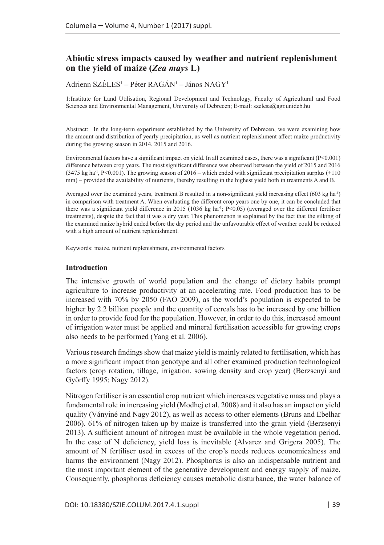# **Abiotic stress impacts caused by weather and nutrient replenishment on the yield of maize (***Zea mays* **L)**

Adrienn SZELES<sup>1</sup> – Péter RAGÁN<sup>1</sup> – János NAGY<sup>1</sup>

1:Institute for Land Utilisation, Regional Development and Technology, Faculty of Agricultural and Food Sciences and Environmental Management, University of Debrecen; E-mail: [szelesa@agr.unideb.hu](mailto:szelesa@agr.unideb.hu)

Abstract: In the long-term experiment established by the University of Debrecen, we were examining how the amount and distribution of yearly precipitation, as well as nutrient replenishment affect maize productivity during the growing season in 2014, 2015 and 2016.

Environmental factors have a significant impact on yield. In all examined cases, there was a significant (P<0.001) difference between crop years. The most significant difference was observed between the yield of 2015 and 2016  $(3475 \text{ kg ha}^{-1}, P<0.001)$ . The growing season of 2016 – which ended with significant precipitation surplus (+110) mm) – provided the availability of nutrients, thereby resulting in the highest yield both in treatments A and B.

Averaged over the examined years, treatment B resulted in a non-significant yield increasing effect (603 kg ha<sup>-1</sup>) in comparison with treatment A. When evaluating the different crop years one by one, it can be concluded that there was a significant yield difference in 2015 (1036 kg ha<sup>-1</sup>; P<0.05) (averaged over the different fertiliser treatments), despite the fact that it was a dry year. This phenomenon is explained by the fact that the silking of the examined maize hybrid ended before the dry period and the unfavourable effect of weather could be reduced with a high amount of nutrient replenishment.

Keywords: maize, nutrient replenishment, environmental factors

### **Introduction**

The intensive growth of world population and the change of dietary habits prompt agriculture to increase productivity at an accelerating rate. Food production has to be increased with 70% by 2050 (FAO 2009), as the world's population is expected to be higher by 2.2 billion people and the quantity of cereals has to be increased by one billion in order to provide food for the population. However, in order to do this, increased amount of irrigation water must be applied and mineral fertilisation accessible for growing crops also needs to be performed (Yang et al. 2006).

Various research findings show that maize yield is mainly related to fertilisation, which has a more significant impact than genotype and all other examined production technological factors (crop rotation, tillage, irrigation, sowing density and crop year) (Berzsenyi and Győrffy 1995; Nagy 2012).

Nitrogen fertiliser is an essential crop nutrient which increases vegetative mass and plays a fundamental role in increasing yield (Modhej et al. 2008) and it also has an impact on yield quality (Ványiné and Nagy 2012), as well as access to other elements (Bruns and Ebelhar 2006). 61% of nitrogen taken up by maize is transferred into the grain yield (Berzsenyi 2013). A sufficient amount of nitrogen must be available in the whole vegetation period. In the case of N deficiency, yield loss is inevitable (Alvarez and Grigera 2005). The amount of N fertiliser used in excess of the crop's needs reduces economicalness and harms the environment (Nagy 2012). Phosphorus is also an indispensable nutrient and the most important element of the generative development and energy supply of maize. Consequently, phosphorus deficiency causes metabolic disturbance, the water balance of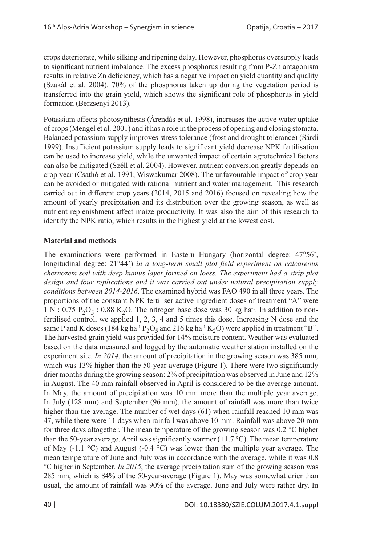crops deteriorate, while silking and ripening delay. However, phosphorus oversupply leads to significant nutrient imbalance. The excess phosphorus resulting from P-Zn antagonism results in relative Zn deficiency, which has a negative impact on yield quantity and quality (Szakál et al. 2004). 70% of the phosphorus taken up during the vegetation period is transferred into the grain yield, which shows the significant role of phosphorus in yield formation (Berzsenyi 2013).

Potassium affects photosynthesis (Árendás et al. 1998), increases the active water uptake of crops (Mengel et al. 2001) and it has a role in the process of opening and closing stomata. Balanced potassium supply improves stress tolerance (frost and drought tolerance) (Sárdi 1999). Insufficient potassium supply leads to significant yield decrease.NPK fertilisation can be used to increase yield, while the unwanted impact of certain agrotechnical factors can also be mitigated (Széll et al. 2004). However, nutrient conversion greatly depends on crop year (Csathó et al. 1991; Wiswakumar 2008). The unfavourable impact of crop year can be avoided or mitigated with rational nutrient and water management. This research carried out in different crop years (2014, 2015 and 2016) focused on revealing how the amount of yearly precipitation and its distribution over the growing season, as well as nutrient replenishment affect maize productivity. It was also the aim of this research to identify the NPK ratio, which results in the highest yield at the lowest cost.

## **Material and methods**

The examinations were performed in Eastern Hungary (horizontal degree: 47°56', longitudinal degree: 21°44') *in a long-term small plot field experiment on calcareous chernozem soil with deep humus layer formed on loess. The experiment had a strip plot design and four replications and it was carried out under natural precipitation supply conditions between 2014-2016*. The examined hybrid was FAO 490 in all three years. The proportions of the constant NPK fertiliser active ingredient doses of treatment "A" were  $1 \text{ N} : 0.75 \text{ P}_2\text{O}_5 : 0.88 \text{ K}_2\text{O}$ . The nitrogen base dose was 30 kg ha<sup>-1</sup>. In addition to nonfertilised control, we applied 1, 2, 3, 4 and 5 times this dose. Increasing N dose and the same P and K doses (184 kg ha<sup>-1</sup> P<sub>2</sub>O<sub>5</sub> and 216 kg ha<sup>-1</sup> K<sub>2</sub>O) were applied in treatment "B". The harvested grain yield was provided for 14% moisture content. Weather was evaluated based on the data measured and logged by the automatic weather station installed on the experiment site. *In 2014*, the amount of precipitation in the growing season was 385 mm, which was 13% higher than the 50-year-average (Figure 1). There were two significantly drier months during the growing season: 2% of precipitation was observed in June and 12% in August. The 40 mm rainfall observed in April is considered to be the average amount. In May, the amount of precipitation was 10 mm more than the multiple year average. In July (128 mm) and September (96 mm), the amount of rainfall was more than twice higher than the average. The number of wet days (61) when rainfall reached 10 mm was 47, while there were 11 days when rainfall was above 10 mm. Rainfall was above 20 mm for three days altogether. The mean temperature of the growing season was 0.2 °C higher than the 50-year average. April was significantly warmer  $(+1.7 \degree C)$ . The mean temperature of May  $(-1.1 \degree C)$  and August  $(-0.4 \degree C)$  was lower than the multiple year average. The mean temperature of June and July was in accordance with the average, while it was 0.8 °C higher in September. *In 2015*, the average precipitation sum of the growing season was 285 mm, which is 84% of the 50-year-average (Figure 1). May was somewhat drier than usual, the amount of rainfall was 90% of the average. June and July were rather dry. In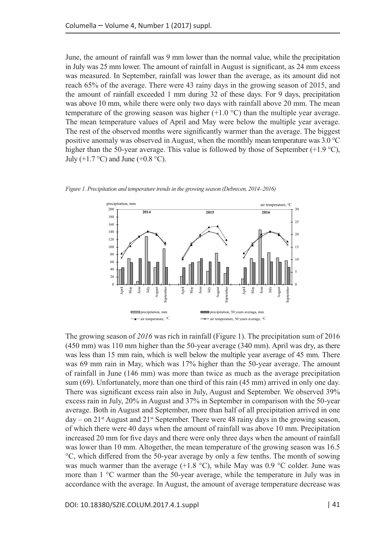June, the amount of rainfall was 9 mm lower than the normal value, while the precipitation in July was 25 mm lower. The amount of rainfall in August is significant, as 24 mm excess was measured. In September, rainfall was lower than the average, as its amount did not reach 65% of the average. There were 43 rainy days in the growing season of 2015, and the amount of rainfall exceeded 1 mm during 32 of these days. For 9 days, precipitation was above 10 mm, while there were only two days with rainfall above 20 mm. The mean temperature of the growing season was higher  $(+1.0 \degree C)$  than the multiple year average. The mean temperature values of April and May were below the multiple year average. The rest of the observed months were significantly warmer than the average. The biggest positive anomaly was observed in August, when the monthly mean temperature was 3.0 °C higher than the 50-year average. This value is followed by those of September (+1.9  $\degree$ C), July (+1.7  $\degree$ C) and June (+0.8  $\degree$ C).



*Figure 1. Precipitation and temperature trends in the growing season (Debrecen, 2014–2016)*

The growing season of *2016* was rich in rainfall (Figure 1). The precipitation sum of 2016 (450 mm) was 110 mm higher than the 50-year average (340 mm). April was dry, as there was less than 15 mm rain, which is well below the multiple year average of 45 mm. There was 69 mm rain in May, which was 17% higher than the 50-year average. The amount of rainfall in June (146 mm) was more than twice as much as the average precipitation sum (69). Unfortunately, more than one third of this rain (45 mm) arrived in only one day. There was significant excess rain also in July, August and September. We observed 39% excess rain in July, 20% in August and 37% in September in comparison with the 50-year average. Both in August and September, more than half of all precipitation arrived in one day – on  $21<sup>st</sup>$  August and  $21<sup>st</sup>$  September. There were 48 rainy days in the growing season, of which there were 40 days when the amount of rainfall was above 10 mm. Precipitation increased 20 mm for five days and there were only three days when the amount of rainfall was lower than 10 mm. Altogether, the mean temperature of the growing season was 16.5 °C, which differed from the 50-year average by only a few tenths. The month of sowing was much warmer than the average  $(+1.8 \text{ °C})$ , while May was 0.9 °C colder. June was more than 1 °C warmer than the 50-year average, while the temperature in July was in accordance with the average. In August, the amount of average temperature decrease was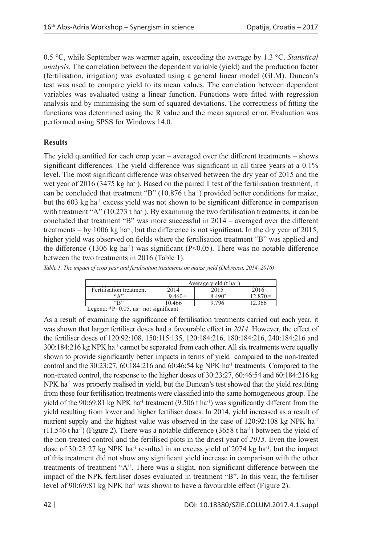0.5 °C, while September was warmer again, exceeding the average by 1.3 °C. *Statistical analysis.* The correlation between the dependent variable (yield) and the production factor (fertilisation, irrigation) was evaluated using a general linear model (GLM). Duncan's test was used to compare yield to its mean values. The correlation between dependent variables was evaluated using a linear function. Functions were fitted with regression analysis and by minimising the sum of squared deviations. The correctness of fitting the functions was determined using the R value and the mean squared error. Evaluation was performed using SPSS for Windows 14.0.

## **Results**

The yield quantified for each crop year – averaged over the different treatments – shows significant differences. The yield difference was significant in all three years at a 0.1% level. The most significant difference was observed between the dry year of 2015 and the wet year of 2016 (3475 kg ha<sup>-1</sup>). Based on the paired T test of the fertilisation treatment, it can be concluded that treatment "B"  $(10.876 \text{ t} \text{ ha}^{-1})$  provided better conditions for maize, but the 603 kg ha<sup>-1</sup> excess yield was not shown to be significant difference in comparison with treatment "A" (10.273 t ha<sup>-1</sup>). By examining the two fertilisation treatments, it can be concluded that treatment "B" was more successful in 2014 – averaged over the different treatments – by 1006 kg ha<sup>-1</sup>, but the difference is not significant. In the dry year of 2015, higher yield was observed on fields where the fertilisation treatment "B" was applied and the difference (1306 kg ha<sup>-1</sup>) was significant ( $P<0.05$ ). There was no notable difference between the two treatments in 2016 (Table 1).

*Table 1. The impact of crop year and fertilisation treatments on maize yield (Debrecen, 2014–2016)*

|                                          | Average yield $(t \text{ ha}^{-1})$ |          |                        |
|------------------------------------------|-------------------------------------|----------|------------------------|
| Fertilisation treatment                  | 2014                                | 2015     | 2016                   |
| $\left( \mathbf{4} \right)$              | 9.460 <sup>ns</sup>                 | $8.490*$ | $12.870$ <sup>ns</sup> |
| $\mathfrak{sp}$                          | 10.466                              | 9.796    | 12.366                 |
| Legend: *P= $0.05$ , ns= not significant |                                     |          |                        |

As a result of examining the significance of fertilisation treatments carried out each year, it was shown that larger fertiliser doses had a favourable effect in *2014*. However, the effect of the fertiliser doses of 120:92:108, 150:115:135, 120:184:216, 180:184:216, 240:184:216 and 300:184:216 kg NPK ha<sup>-1</sup> cannot be separated from each other. All six treatments were equally shown to provide significantly better impacts in terms of yield compared to the non-treated control and the  $30:23:27$ ,  $60:184:216$  and  $60:46:54$  kg NPK ha<sup>-1</sup> treatments. Compared to the non-treated control, the response to the higher doses of 30:23:27, 60:46:54 and 60:184:216 kg NPK ha<sup>-1</sup> was properly realised in yield, but the Duncan's test showed that the yield resulting from these four fertilisation treatments were classified into the same homogeneous group. The yield of the  $90:69:81$  kg NPK ha<sup>-1</sup> treatment  $(9.506$  t ha<sup>-1</sup>) was significantly different from the yield resulting from lower and higher fertiliser doses. In 2014, yield increased as a result of nutrient supply and the highest value was observed in the case of 120:92:108 kg NPK ha<sup>-1</sup>  $(11.546 \text{ t} \text{ ha}^{-1})$  (Figure 2). There was a notable difference  $(3658 \text{ t} \text{ ha}^{-1})$  between the yield of the non-treated control and the fertilised plots in the driest year of *2015*. Even the lowest dose of 30:23:27 kg NPK ha<sup>-1</sup> resulted in an excess yield of 2074 kg ha<sup>-1</sup>, but the impact of this treatment did not show any significant yield increase in comparison with the other treatments of treatment "A". There was a slight, non-significant difference between the impact of the NPK fertiliser doses evaluated in treatment "B". In this year, the fertiliser level of 90:69:81 kg NPK ha<sup>-1</sup> was shown to have a favourable effect (Figure 2).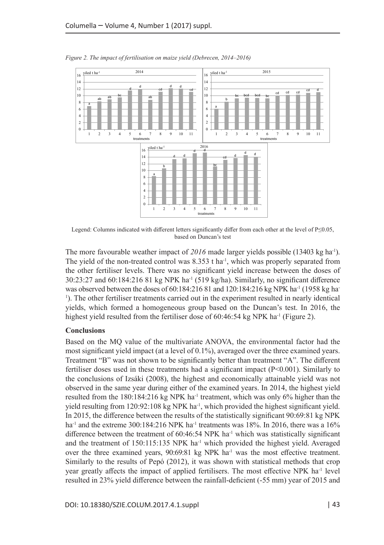

*Figure 2. The impact of fertilisation on maize yield (Debrecen, 2014–2016)*

Legend: Columns indicated with different letters significantly differ from each other at the level of P≤0.05, based on Duncan's test

The more favourable weather impact of 2016 made larger yields possible (13403 kg ha<sup>-1</sup>). The yield of the non-treated control was  $8.353$  t ha<sup>-1</sup>, which was properly separated from the other fertiliser levels. There was no significant yield increase between the doses of  $30:23:27$  and  $60:184:216$  81 kg NPK ha<sup>-1</sup> (519 kg/ha). Similarly, no significant difference was observed between the doses of  $60:184:21681$  and  $120:184:216$  kg NPK ha<sup>-1</sup> (1958 kg ha-<sup>1</sup>). The other fertiliser treatments carried out in the experiment resulted in nearly identical yields, which formed a homogeneous group based on the Duncan's test. In 2016, the highest yield resulted from the fertiliser dose of  $60:46:54$  kg NPK ha<sup>-1</sup> (Figure 2).

### **Conclusions**

Based on the MQ value of the multivariate ANOVA, the environmental factor had the most significant yield impact (at a level of 0.1%), averaged over the three examined years. Treatment "B" was not shown to be significantly better than treatment "A". The different fertiliser doses used in these treatments had a significant impact (P<0.001). Similarly to the conclusions of Izsáki (2008), the highest and economically attainable yield was not observed in the same year during either of the examined years. In 2014, the highest yield resulted from the  $180:184:216$  kg NPK ha<sup>-1</sup> treatment, which was only 6% higher than the yield resulting from  $120:92:108$  kg NPK ha<sup>-1</sup>, which provided the highest significant yield. In 2015, the difference between the results of the statistically significant 90:69:81 kg NPK ha<sup>-1</sup> and the extreme 300:184:216 NPK ha<sup>-1</sup> treatments was 18%. In 2016, there was a 16% difference between the treatment of  $60:46:54$  NPK ha<sup>-1</sup> which was statistically significant and the treatment of  $150:115:135$  NPK ha<sup>-1</sup> which provided the highest yield. Averaged over the three examined years,  $90:69:81 \text{ kg } NPK$  ha<sup>-1</sup> was the most effective treatment. Similarly to the results of Pepó (2012), it was shown with statistical methods that crop year greatly affects the impact of applied fertilisers. The most effective NPK ha<sup>-1</sup> level resulted in 23% yield difference between the rainfall-deficient (-55 mm) year of 2015 and